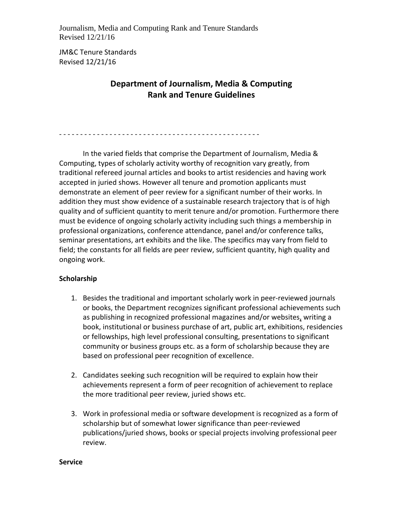- - - - - - - - - - - - - - - - - - - - - - - - - - - - - - - - - - - - - - - - - - - - - - - -

JM&C Tenure Standards Revised 12/21/16

# **Department of Journalism, Media & Computing Rank and Tenure Guidelines**

In the varied fields that comprise the Department of Journalism, Media & Computing, types of scholarly activity worthy of recognition vary greatly, from traditional refereed journal articles and books to artist residencies and having work accepted in juried shows. However all tenure and promotion applicants must demonstrate an element of peer review for a significant number of their works. In addition they must show evidence of a sustainable research trajectory that is of high quality and of sufficient quantity to merit tenure and/or promotion. Furthermore there must be evidence of ongoing scholarly activity including such things a membership in professional organizations, conference attendance, panel and/or conference talks, seminar presentations, art exhibits and the like. The specifics may vary from field to field; the constants for all fields are peer review, sufficient quantity, high quality and ongoing work.

# **Scholarship**

- 1. Besides the traditional and important scholarly work in peer-reviewed journals or books, the Department recognizes significant professional achievements such as publishing in recognized professional magazines and/or websites, writing a book, institutional or business purchase of art, public art, exhibitions, residencies or fellowships, high level professional consulting, presentations to significant community or business groups etc. as a form of scholarship because they are based on professional peer recognition of excellence.
- 2. Candidates seeking such recognition will be required to explain how their achievements represent a form of peer recognition of achievement to replace the more traditional peer review, juried shows etc.
- 3. Work in professional media or software development is recognized as a form of scholarship but of somewhat lower significance than peer-reviewed publications/juried shows, books or special projects involving professional peer review.

#### **Service**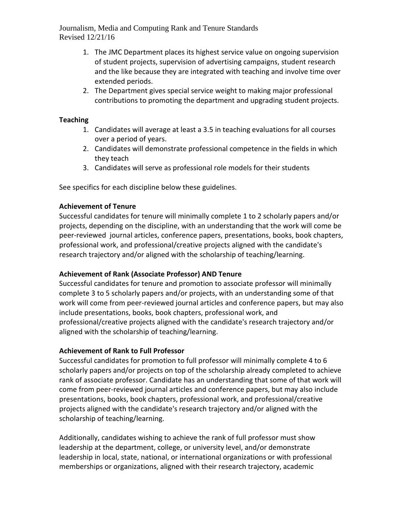- 1. The JMC Department places its highest service value on ongoing supervision of student projects, supervision of advertising campaigns, student research and the like because they are integrated with teaching and involve time over extended periods.
- 2. The Department gives special service weight to making major professional contributions to promoting the department and upgrading student projects.

#### **Teaching**

- 1. Candidates will average at least a 3.5 in teaching evaluations for all courses over a period of years.
- 2. Candidates will demonstrate professional competence in the fields in which they teach
- 3. Candidates will serve as professional role models for their students

See specifics for each discipline below these guidelines.

#### **Achievement of Tenure**

Successful candidates for tenure will minimally complete 1 to 2 scholarly papers and/or projects, depending on the discipline, with an understanding that the work will come be peer-reviewed journal articles, conference papers, presentations, books, book chapters, professional work, and professional/creative projects aligned with the candidate's research trajectory and/or aligned with the scholarship of teaching/learning.

# **Achievement of Rank (Associate Professor) AND Tenure**

Successful candidates for tenure and promotion to associate professor will minimally complete 3 to 5 scholarly papers and/or projects, with an understanding some of that work will come from peer-reviewed journal articles and conference papers, but may also include presentations, books, book chapters, professional work, and professional/creative projects aligned with the candidate's research trajectory and/or aligned with the scholarship of teaching/learning.

# **Achievement of Rank to Full Professor**

Successful candidates for promotion to full professor will minimally complete 4 to 6 scholarly papers and/or projects on top of the scholarship already completed to achieve rank of associate professor. Candidate has an understanding that some of that work will come from peer-reviewed journal articles and conference papers, but may also include presentations, books, book chapters, professional work, and professional/creative projects aligned with the candidate's research trajectory and/or aligned with the scholarship of teaching/learning.

Additionally, candidates wishing to achieve the rank of full professor must show leadership at the department, college, or university level, and/or demonstrate leadership in local, state, national, or international organizations or with professional memberships or organizations, aligned with their research trajectory, academic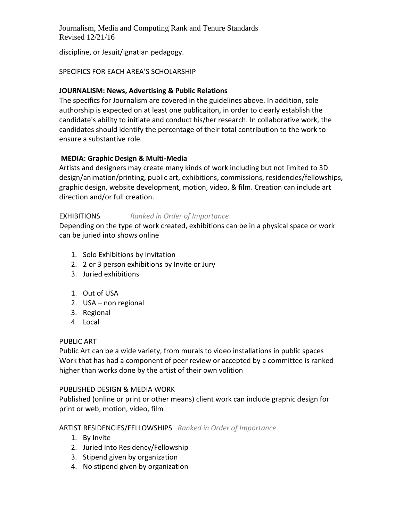discipline, or Jesuit/Ignatian pedagogy.

#### SPECIFICS FOR EACH AREA'S SCHOLARSHIP

#### **JOURNALISM: News, Advertising & Public Relations**

The specifics for Journalism are covered in the guidelines above. In addition, sole authorship is expected on at least one publicaiton, in order to clearly establish the candidate's ability to initiate and conduct his/her research. In collaborative work, the candidates should identify the percentage of their total contribution to the work to ensure a substantive role.

#### **MEDIA: Graphic Design & Multi-Media**

Artists and designers may create many kinds of work including but not limited to 3D design/animation/printing, public art, exhibitions, commissions, residencies/fellowships, graphic design, website development, motion, video, & film. Creation can include art direction and/or full creation.

#### EXHIBITIONS *Ranked in Order of Importance*

Depending on the type of work created, exhibitions can be in a physical space or work can be juried into shows online

- 1. Solo Exhibitions by Invitation
- 2. 2 or 3 person exhibitions by Invite or Jury
- 3. Juried exhibitions
- 1. Out of USA
- 2. USA non regional
- 3. Regional
- 4. Local

#### PUBLIC ART

Public Art can be a wide variety, from murals to video installations in public spaces Work that has had a component of peer review or accepted by a committee is ranked higher than works done by the artist of their own volition

#### PUBLISHED DESIGN & MEDIA WORK

Published (online or print or other means) client work can include graphic design for print or web, motion, video, film

# ARTIST RESIDENCIES/FELLOWSHIPS *Ranked in Order of Importance*

- 1. By Invite
- 2. Juried Into Residency/Fellowship
- 3. Stipend given by organization
- 4. No stipend given by organization